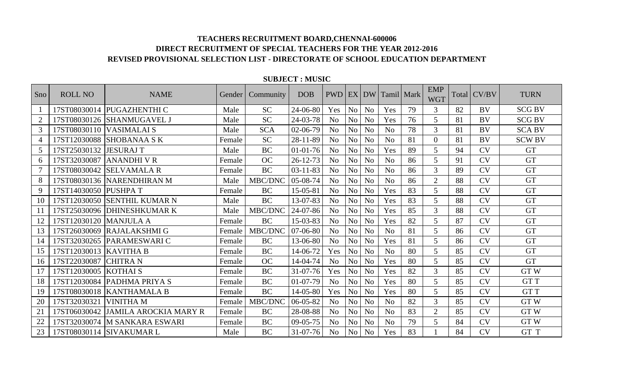| Sno            | <b>ROLL NO</b>         | <b>NAME</b>                  | Gender | Community  | <b>DOB</b>     | <b>PWD</b>     |                |                | EX DW Tamil Mark |    | <b>EMP</b><br><b>WGT</b> |    | Total CV/BV | <b>TURN</b>   |
|----------------|------------------------|------------------------------|--------|------------|----------------|----------------|----------------|----------------|------------------|----|--------------------------|----|-------------|---------------|
|                |                        | 17ST08030014 PUGAZHENTHI C   | Male   | <b>SC</b>  | 24-06-80       | Yes            | N <sub>o</sub> | N <sub>o</sub> | Yes              | 79 | 3                        | 82 | <b>BV</b>   | <b>SCG BV</b> |
| $\overline{2}$ | 17ST08030126           | <b>SHANMUGAVEL J</b>         | Male   | <b>SC</b>  | 24-03-78       | No             | N <sub>o</sub> | N <sub>o</sub> | Yes              | 76 | 5                        | 81 | BV          | <b>SCG BV</b> |
| $\mathfrak{Z}$ | 17ST08030110           | <b>VASIMALAI S</b>           | Male   | <b>SCA</b> | 02-06-79       | N <sub>o</sub> | N <sub>o</sub> | N <sub>o</sub> | N <sub>o</sub>   | 78 | $\overline{3}$           | 81 | <b>BV</b>   | <b>SCA BV</b> |
| $\overline{4}$ | 17ST12030088           | <b>SHOBANAA SK</b>           | Female | <b>SC</b>  | 28-11-89       | N <sub>o</sub> | N <sub>o</sub> | N <sub>o</sub> | N <sub>o</sub>   | 81 | $\Omega$                 | 81 | BV          | <b>SCW BV</b> |
| 5              | 17ST25030132           | <b>JESURAJ T</b>             | Male   | <b>BC</b>  | $01 - 01 - 76$ | No             | N <sub>o</sub> | N <sub>o</sub> | Yes              | 89 | 5                        | 94 | CV          | <b>GT</b>     |
| 6              | 17ST32030087           | <b>ANANDHI V R</b>           | Female | <b>OC</b>  | $26 - 12 - 73$ | N <sub>o</sub> | N <sub>o</sub> | N <sub>o</sub> | N <sub>o</sub>   | 86 | 5 <sup>5</sup>           | 91 | <b>CV</b>   | <b>GT</b>     |
| $\overline{7}$ | 17ST08030042           | <b>SELVAMALA R</b>           | Female | <b>BC</b>  | $03-11-83$     | No             | N <sub>o</sub> | N <sub>o</sub> | N <sub>o</sub>   | 86 | $\mathfrak{Z}$           | 89 | <b>CV</b>   | <b>GT</b>     |
| 8              |                        | 17ST08030136 NARENDHIRAN M   | Male   | MBC/DNC    | 05-08-74       | No             | N <sub>o</sub> | N <sub>o</sub> | N <sub>o</sub>   | 86 | $\overline{2}$           | 88 | <b>CV</b>   | <b>GT</b>     |
| 9              | 17ST14030050 PUSHPA T  |                              | Female | <b>BC</b>  | 15-05-81       | N <sub>o</sub> | N <sub>o</sub> | N <sub>o</sub> | Yes              | 83 | 5                        | 88 | <b>CV</b>   | <b>GT</b>     |
| 10             | 17ST12030050           | <b>SENTHIL KUMAR N</b>       | Male   | <b>BC</b>  | 13-07-83       | No             | N <sub>o</sub> | N <sub>o</sub> | Yes              | 83 | 5                        | 88 | <b>CV</b>   | <b>GT</b>     |
| 11             |                        | 17ST25030096 DHINESHKUMAR K  | Male   | MBC/DNC    | $24 - 07 - 86$ | N <sub>o</sub> | N <sub>o</sub> | N <sub>o</sub> | Yes              | 85 | $\mathfrak{Z}$           | 88 | <b>CV</b>   | <b>GT</b>     |
| 12             | 17ST12030120           | <b>MANJULA A</b>             | Female | <b>BC</b>  | 15-03-83       | N <sub>o</sub> | N <sub>o</sub> | N <sub>o</sub> | Yes              | 82 | 5 <sup>5</sup>           | 87 | <b>CV</b>   | <b>GT</b>     |
| 13             | 17ST26030069           | <b>RAJALAKSHMI G</b>         | Female | MBC/DNC    | 07-06-80       | N <sub>o</sub> | N <sub>o</sub> | N <sub>o</sub> | N <sub>o</sub>   | 81 | 5 <sup>5</sup>           | 86 | <b>CV</b>   | <b>GT</b>     |
| 14             | 17ST32030265           | <b>PARAMESWARIC</b>          | Female | <b>BC</b>  | 13-06-80       | No             | N <sub>o</sub> | N <sub>o</sub> | Yes              | 81 | 5                        | 86 | <b>CV</b>   | <b>GT</b>     |
| 15             | 17ST12030013 KAVITHA B |                              | Female | <b>BC</b>  | $14-06-72$     | Yes            | N <sub>o</sub> | N <sub>o</sub> | N <sub>o</sub>   | 80 | 5 <sup>5</sup>           | 85 | <b>CV</b>   | <b>GT</b>     |
| 16             | 17ST22030087           | <b>CHITRA N</b>              | Female | <b>OC</b>  | 14-04-74       | No             | N <sub>o</sub> | N <sub>o</sub> | Yes              | 80 | 5                        | 85 | <b>CV</b>   | <b>GT</b>     |
| 17             | 17ST12030005           | <b>KOTHAIS</b>               | Female | <b>BC</b>  | $31 - 07 - 76$ | Yes            | N <sub>o</sub> | N <sub>o</sub> | Yes              | 82 | 3                        | 85 | <b>CV</b>   | <b>GTW</b>    |
| 18             | 17ST12030084           | <b>PADHMA PRIYA S</b>        | Female | <b>BC</b>  | $01-07-79$     | N <sub>o</sub> | N <sub>o</sub> | N <sub>o</sub> | Yes              | 80 | 5                        | 85 | <b>CV</b>   | <b>GTT</b>    |
| 19             |                        | 17ST08030018   KANTHAMALA B  | Female | <b>BC</b>  | $14 - 05 - 80$ | Yes            | N <sub>o</sub> | N <sub>o</sub> | Yes              | 80 | 5                        | 85 | <b>CV</b>   | <b>GTT</b>    |
| 20             | 17ST32030321           | <b>VINITHA M</b>             | Female | MBC/DNC    | $06 - 05 - 82$ | N <sub>o</sub> | N <sub>o</sub> | N <sub>o</sub> | N <sub>o</sub>   | 82 | 3                        | 85 | CV          | GTW           |
| 21             | 17ST06030042           | <b>JAMILA AROCKIA MARY R</b> | Female | <b>BC</b>  | 28-08-88       | N <sub>o</sub> | N <sub>o</sub> | N <sub>o</sub> | N <sub>o</sub>   | 83 | $\overline{2}$           | 85 | <b>CV</b>   | <b>GTW</b>    |
| 22             | 17ST32030074           | <b>M SANKARA ESWARI</b>      | Female | <b>BC</b>  | $09 - 05 - 75$ | No             | N <sub>o</sub> | N <sub>o</sub> | N <sub>0</sub>   | 79 | 5                        | 84 | <b>CV</b>   | <b>GTW</b>    |
| 23             |                        | 17ST08030114 SIVAKUMAR L     | Male   | <b>BC</b>  | $31 - 07 - 76$ | N <sub>o</sub> | N <sub>o</sub> | N <sub>0</sub> | Yes              | 83 |                          | 84 | <b>CV</b>   | GT T          |

#### **SUBJECT : MUSIC**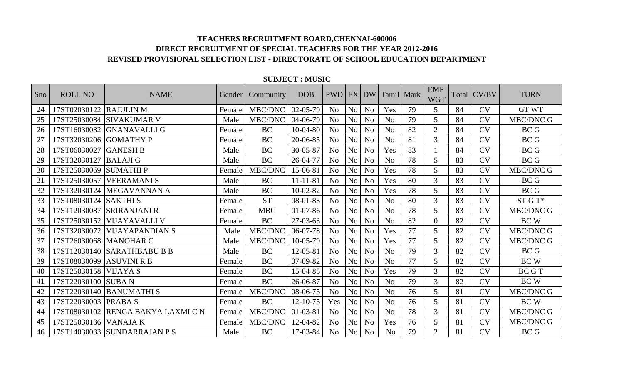| Sno | <b>ROLL NO</b>      | <b>NAME</b>                        | Gender | Community  | <b>DOB</b>     | <b>PWD</b>     |                | $EX$ DW        | Tamil Mark     |    | <b>EMP</b><br><b>WGT</b> | Total | CV/BV     | <b>TURN</b>      |
|-----|---------------------|------------------------------------|--------|------------|----------------|----------------|----------------|----------------|----------------|----|--------------------------|-------|-----------|------------------|
| 24  | 17ST02030122        | <b>RAJULIN M</b>                   | Female | MBC/DNC    | $02-05-79$     | N <sub>o</sub> | N <sub>o</sub> | N <sub>o</sub> | Yes            | 79 | 5                        | 84    | CV        | <b>GT WT</b>     |
| 25  | 17ST25030084        | <b>SIVAKUMAR V</b>                 | Male   | MBC/DNC    | 04-06-79       | N <sub>o</sub> | N <sub>o</sub> | N <sub>o</sub> | N <sub>o</sub> | 79 | 5 <sup>5</sup>           | 84    | <b>CV</b> | <b>MBC/DNC G</b> |
| 26  | 17ST16030032        | <b>GNANAVALLI G</b>                | Female | <b>BC</b>  | $10-04-80$     | N <sub>o</sub> | N <sub>o</sub> | N <sub>o</sub> | N <sub>0</sub> | 82 | $\overline{2}$           | 84    | CV        | <b>BCG</b>       |
| 27  | 17ST32030206        | <b>GOMATHY P</b>                   | Female | <b>BC</b>  | 20-06-85       | N <sub>o</sub> | N <sub>o</sub> | N <sub>o</sub> | N <sub>o</sub> | 81 | 3                        | 84    | <b>CV</b> | <b>BCG</b>       |
| 28  | 17ST06030027        | <b>GANESH B</b>                    | Male   | <b>BC</b>  | $30 - 05 - 87$ | N <sub>o</sub> | N <sub>o</sub> | N <sub>o</sub> | Yes            | 83 |                          | 84    | <b>CV</b> | <b>BCG</b>       |
| 29  | 17ST32030127        | <b>BALAJI G</b>                    | Male   | <b>BC</b>  | 26-04-77       | N <sub>o</sub> | N <sub>o</sub> | N <sub>o</sub> | N <sub>o</sub> | 78 | 5 <sup>5</sup>           | 83    | <b>CV</b> | <b>BCG</b>       |
| 30  | 17ST25030069        | <b>SUMATHIP</b>                    | Female | MBC/DNC    | 15-06-81       | N <sub>o</sub> | N <sub>o</sub> | N <sub>o</sub> | Yes            | 78 | 5 <sup>5</sup>           | 83    | <b>CV</b> | MBC/DNC G        |
| 31  | 17ST25030057        | <b>VEERAMANIS</b>                  | Male   | <b>BC</b>  | $11 - 11 - 81$ | N <sub>o</sub> | N <sub>o</sub> | N <sub>o</sub> | Yes            | 80 | 3                        | 83    | <b>CV</b> | <b>BCG</b>       |
| 32  | 17ST32030124        | <b>MEGAVANNAN A</b>                | Male   | <b>BC</b>  | $10-02-82$     | N <sub>o</sub> | N <sub>o</sub> | N <sub>o</sub> | Yes            | 78 | 5                        | 83    | <b>CV</b> | <b>BCG</b>       |
| 33  | 17ST08030124        | <b>SAKTHIS</b>                     | Female | <b>ST</b>  | $08 - 01 - 83$ | N <sub>o</sub> | N <sub>o</sub> | N <sub>o</sub> | N <sub>o</sub> | 80 | 3                        | 83    | <b>CV</b> | ST G T*          |
| 34  | 17ST12030087        | ISRIRANJANI R                      | Female | <b>MBC</b> | $01-07-86$     | N <sub>o</sub> | N <sub>o</sub> | N <sub>o</sub> | N <sub>o</sub> | 78 | 5 <sup>5</sup>           | 83    | <b>CV</b> | MBC/DNC G        |
| 35  | 17ST25030152        | <b>VIJAYAVALLI V</b>               | Female | <b>BC</b>  | $27-03-63$     | N <sub>o</sub> | N <sub>o</sub> | N <sub>o</sub> | N <sub>o</sub> | 82 | $\Omega$                 | 82    | <b>CV</b> | <b>BCW</b>       |
| 36  | 17ST32030072        | <b>VIJAYAPANDIAN S</b>             | Male   | MBC/DNC    | 06-07-78       | N <sub>o</sub> | N <sub>o</sub> | N <sub>o</sub> | Yes            | 77 | 5                        | 82    | <b>CV</b> | <b>MBC/DNC G</b> |
| 37  | 17ST26030068        | <b>MANOHAR C</b>                   | Male   | MBC/DNC    | $10-05-79$     | N <sub>o</sub> | N <sub>o</sub> | N <sub>o</sub> | Yes            | 77 | 5 <sup>5</sup>           | 82    | <b>CV</b> | MBC/DNC G        |
| 38  | 17ST12030140        | <b>SARATHBABU B B</b>              | Male   | <b>BC</b>  | $12 - 05 - 81$ | N <sub>o</sub> | N <sub>o</sub> | N <sub>o</sub> | N <sub>0</sub> | 79 | 3                        | 82    | <b>CV</b> | <b>BCG</b>       |
| 39  | 17ST08030099        | <b>ASUVINI R B</b>                 | Female | <b>BC</b>  | 07-09-82       | N <sub>o</sub> | N <sub>o</sub> | N <sub>o</sub> | N <sub>0</sub> | 77 | 5                        | 82    | <b>CV</b> | <b>BCW</b>       |
| 40  | 17ST25030158        | <b>VIJAYA S</b>                    | Female | <b>BC</b>  | 15-04-85       | N <sub>o</sub> | N <sub>o</sub> | No             | Yes            | 79 | 3                        | 82    | <b>CV</b> | BC G T           |
| 41  | 17ST22030100 SUBA N |                                    | Female | <b>BC</b>  | 26-06-87       | N <sub>0</sub> | N <sub>o</sub> | N <sub>o</sub> | N <sub>o</sub> | 79 | $\overline{3}$           | 82    | <b>CV</b> | <b>BCW</b>       |
| 42  |                     | 17ST22030140   BANUMATHI S         | Female | MBC/DNC    | 08-06-75       | N <sub>0</sub> | N <sub>o</sub> | N <sub>o</sub> | N <sub>o</sub> | 76 | 5                        | 81    | <b>CV</b> | <b>MBC/DNC G</b> |
| 43  | 17ST22030003        | <b>PRABAS</b>                      | Female | <b>BC</b>  | $12 - 10 - 75$ | Yes            | N <sub>o</sub> | N <sub>o</sub> | N <sub>o</sub> | 76 | 5                        | 81    | <b>CV</b> | <b>BCW</b>       |
| 44  |                     | 17ST08030102 RENGA BAKYA LAXMI C N | Female | MBC/DNC    | $01 - 03 - 81$ | N <sub>o</sub> | N <sub>o</sub> | N <sub>o</sub> | N <sub>o</sub> | 78 | 3                        | 81    | <b>CV</b> | MBC/DNC G        |
| 45  | 17ST25030136        | <b>VANAJA K</b>                    | Female | MBC/DNC    | 12-04-82       | N <sub>o</sub> | N <sub>o</sub> | N <sub>o</sub> | Yes            | 76 | 5                        | 81    | <b>CV</b> | <b>MBC/DNC G</b> |
| 46  |                     | 17ST14030033 SUNDARRAJAN P S       | Male   | <b>BC</b>  | 17-03-84       | N <sub>o</sub> | N <sub>o</sub> | N <sub>o</sub> | N <sub>o</sub> | 79 | $\overline{2}$           | 81    | <b>CV</b> | <b>BCG</b>       |

#### **SUBJECT : MUSIC**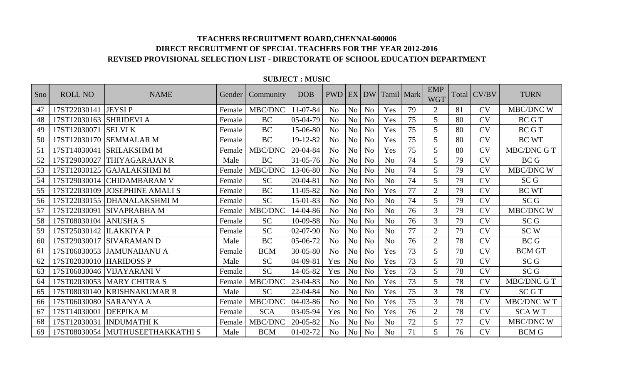| Sno | <b>ROLL NO</b> | <b>NAME</b>                     | Gender | Community  | <b>DOB</b>     | <b>PWD</b>     |                | EX DW          | Tamil   Mark   |    | <b>EMP</b><br><b>WGT</b> | Total | CV/BV     | <b>TURN</b>       |
|-----|----------------|---------------------------------|--------|------------|----------------|----------------|----------------|----------------|----------------|----|--------------------------|-------|-----------|-------------------|
| 47  | 17ST22030141   | <b>JEYSIP</b>                   | Female | MBC/DNC    | $11 - 07 - 84$ | N <sub>o</sub> | N <sub>o</sub> | N <sub>o</sub> | Yes            | 79 | $\overline{2}$           | 81    | CV        | MBC/DNC W         |
| 48  | 17ST12030163   | <b>SHRIDEVI A</b>               | Female | <b>BC</b>  | $05-04-79$     | N <sub>0</sub> | N <sub>o</sub> | N <sub>o</sub> | Yes            | 75 | $5^{\circ}$              | 80    | CV        | <b>BCGT</b>       |
| 49  | 17ST12030071   | <b>SELVIK</b>                   | Female | <b>BC</b>  | 15-06-80       | N <sub>0</sub> | N <sub>o</sub> | N <sub>o</sub> | Yes            | 75 | $5^{\circ}$              | 80    | CV        | <b>BCGT</b>       |
| 50  | 17ST12030170   | <b>SEMMALAR M</b>               | Female | <b>BC</b>  | 19-12-82       | N <sub>o</sub> | N <sub>o</sub> | No             | Yes            | 75 | $5^{\circ}$              | 80    | <b>CV</b> | <b>BC WT</b>      |
| 51  | 17ST14030041   | <b>SRILAKSHMI M</b>             | Female | MBC/DNC    | 20-04-84       | N <sub>o</sub> | N <sub>o</sub> | No             | Yes            | 75 | 5 <sup>5</sup>           | 80    | <b>CV</b> | MBC/DNC G T       |
| 52  | 17ST29030027   | THIYAGARAJAN R                  | Male   | <b>BC</b>  | $31 - 05 - 76$ | N <sub>o</sub> | N <sub>o</sub> | No             | N <sub>o</sub> | 74 | $5^{\circ}$              | 79    | <b>CV</b> | <b>BCG</b>        |
| 53  | 17ST12030125   | <b>GAJALAKSHMI M</b>            | Female | MBC/DNC    | 13-06-80       | N <sub>o</sub> | N <sub>o</sub> | N <sub>o</sub> | N <sub>o</sub> | 74 | $5^{\circ}$              | 79    | <b>CV</b> | MBC/DNC W         |
| 54  | 17ST29030014   | ICHIDAMBARAM V                  | Female | <b>SC</b>  | $20 - 04 - 81$ | N <sub>o</sub> | N <sub>o</sub> | No             | No             | 74 | $5^{\circ}$              | 79    | <b>CV</b> | SC <sub>G</sub>   |
| 55  | 17ST22030109   | <b>JOSEPHINE AMALI S</b>        | Female | BC         | 11-05-82       | N <sub>o</sub> | N <sub>o</sub> | No             | Yes            | 77 | $\overline{2}$           | 79    | <b>CV</b> | <b>BC WT</b>      |
| 56  | 17ST22030155   | <b>DHANALAKSHMIM</b>            | Female | <b>SC</b>  | 15-01-83       | N <sub>o</sub> | N <sub>o</sub> | N <sub>o</sub> | N <sub>o</sub> | 74 | 5                        | 79    | <b>CV</b> | SC <sub>G</sub>   |
| 57  | 17ST22030091   | <b>SIVAPRABHA M</b>             | Female | MBC/DNC    | 14-04-86       | N <sub>o</sub> | N <sub>o</sub> | No             | N <sub>o</sub> | 76 | $\overline{3}$           | 79    | <b>CV</b> | <b>MBC/DNC W</b>  |
| 58  | 17ST08030104   | <b>ANUSHA S</b>                 | Female | <b>SC</b>  | 10-09-88       | N <sub>o</sub> | N <sub>o</sub> | No             | N <sub>o</sub> | 76 | $\overline{3}$           | 79    | <b>CV</b> | SC <sub>G</sub>   |
| 59  | 17ST25030142   | <b>ILAKKIYA P</b>               | Female | <b>SC</b>  | $02-07-90$     | N <sub>o</sub> | N <sub>o</sub> | No             | N <sub>o</sub> | 77 | $\overline{2}$           | 79    | <b>CV</b> | SC <sub>W</sub>   |
| 60  | 17ST29030017   | ISIVARAMAN D                    | Male   | <b>BC</b>  | 05-06-72       | N <sub>o</sub> | N <sub>o</sub> | N <sub>o</sub> | N <sub>o</sub> | 76 | $\overline{2}$           | 78    | <b>CV</b> | <b>BCG</b>        |
| 61  | 17ST06030053   | JAMUNABANU A                    | Female | <b>BCM</b> | $30 - 05 - 80$ | N <sub>o</sub> | N <sub>o</sub> | No             | Yes            | 73 | $5^{\circ}$              | 78    | <b>CV</b> | <b>BCM GT</b>     |
| 62  | 17ST02030010   | <b>HARIDOSS P</b>               | Male   | <b>SC</b>  | $04 - 09 - 81$ | Yes            | N <sub>o</sub> | N <sub>o</sub> | Yes            | 73 | 5                        | 78    | <b>CV</b> | SC <sub>G</sub>   |
| 63  | 17ST06030046   | <b>VIJAYARANI V</b>             | Female | <b>SC</b>  | 14-05-82       | Yes            | N <sub>o</sub> | No             | Yes            | 73 | 5                        | 78    | <b>CV</b> | SC <sub>G</sub>   |
| 64  | 17ST02030053   | <b>MARY CHITRA S</b>            | Female | MBC/DNC    | 23-04-83       | N <sub>o</sub> | N <sub>o</sub> | No             | Yes            | 73 | 5                        | 78    | <b>CV</b> | MBC/DNC G T       |
| 65  | 17ST08030140   | <b>KRISHNAKUMAR R</b>           | Male   | <b>SC</b>  | 22-04-84       | N <sub>o</sub> | N <sub>o</sub> | No             | Yes            | 75 | $\overline{3}$           | 78    | <b>CV</b> | <b>SCGT</b>       |
| 66  | 17ST06030080   | <b>SARANYA A</b>                | Female | MBC/DNC    | 04-03-86       | N <sub>o</sub> | N <sub>o</sub> | No             | Yes            | 75 | $\overline{3}$           | 78    | <b>CV</b> | <b>MBC/DNC WT</b> |
| 67  | 17ST14030001   | <b>DEEPIKAM</b>                 | Female | <b>SCA</b> | 03-05-94       | Yes            | N <sub>o</sub> | No             | Yes            | 76 | $\overline{2}$           | 78    | <b>CV</b> | <b>SCAWT</b>      |
| 68  | 17ST12030031   | <b>INDUMATHI K</b>              | Female | MBC/DNC    | 20-05-82       | N <sub>o</sub> | N <sub>o</sub> | No             | N <sub>o</sub> | 72 | 5                        | 77    | <b>CV</b> | MBC/DNC W         |
| 69  |                | 17ST08030054 MUTHUSEETHAKKATHIS | Male   | <b>BCM</b> | $01 - 02 - 72$ | N <sub>o</sub> | N <sub>o</sub> | N <sub>o</sub> | N <sub>o</sub> | 71 | 5 <sup>5</sup>           | 76    | <b>CV</b> | <b>BCM G</b>      |

#### **SUBJECT : MUSIC**